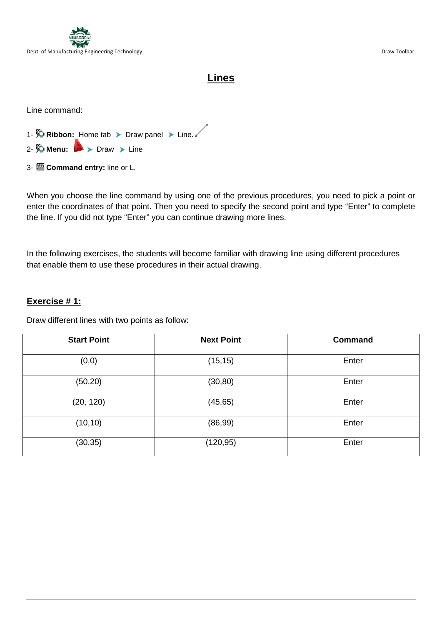

## **Lines**

Line command:

- 1-  $\hat{X}$  **Ribbon:** Home tab > Draw panel > Line.
- 2-  $\otimes$  **Menu:**  $\rightarrow$   $\triangleright$  Draw  $\triangleright$  Line
- 3- **Command entry:** line or L.

When you choose the line command by using one of the previous procedures, you need to pick a point or enter the coordinates of that point. Then you need to specify the second point and type "Enter" to complete the line. If you did not type "Enter" you can continue drawing more lines.

In the following exercises, the students will become familiar with drawing line using different procedures that enable them to use these procedures in their actual drawing.

#### **Exercise # 1:**

Draw different lines with two points as follow:

| <b>Start Point</b> | <b>Next Point</b> | <b>Command</b> |
|--------------------|-------------------|----------------|
| (0, 0)             | (15, 15)          | Enter          |
| (50, 20)           | (30, 80)          | Enter          |
| (20, 120)          | (45, 65)          | Enter          |
| (10, 10)           | (86, 99)          | Enter          |
| (30, 35)           | (120, 95)         | Enter          |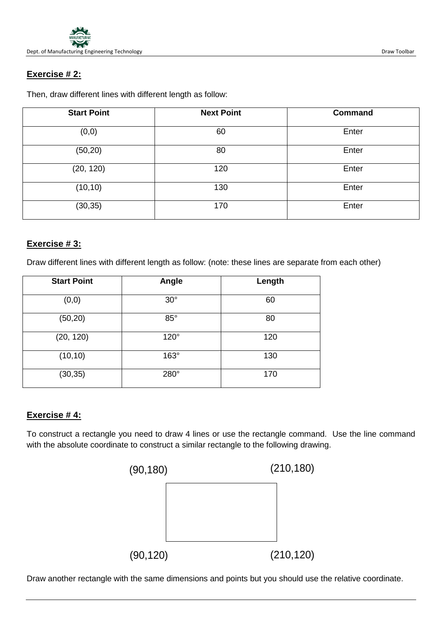

#### **Exercise # 2:**

Then, draw different lines with different length as follow:

| <b>Start Point</b> | <b>Next Point</b> | <b>Command</b> |
|--------------------|-------------------|----------------|
| (0, 0)             | 60                | Enter          |
| (50, 20)           | 80                | Enter          |
| (20, 120)          | 120               | Enter          |
| (10, 10)           | 130               | Enter          |
| (30, 35)           | 170               | Enter          |

#### **Exercise # 3:**

Draw different lines with different length as follow: (note: these lines are separate from each other)

| <b>Start Point</b> | Angle       | Length |
|--------------------|-------------|--------|
| (0, 0)             | $30^\circ$  | 60     |
| (50, 20)           | $85^\circ$  | 80     |
| (20, 120)          | $120^\circ$ | 120    |
| (10, 10)           | $163^\circ$ | 130    |
| (30, 35)           | 280°        | 170    |

#### **Exercise # 4:**

To construct a rectangle you need to draw 4 lines or use the rectangle command. Use the line command with the absolute coordinate to construct a similar rectangle to the following drawing.



Draw another rectangle with the same dimensions and points but you should use the relative coordinate.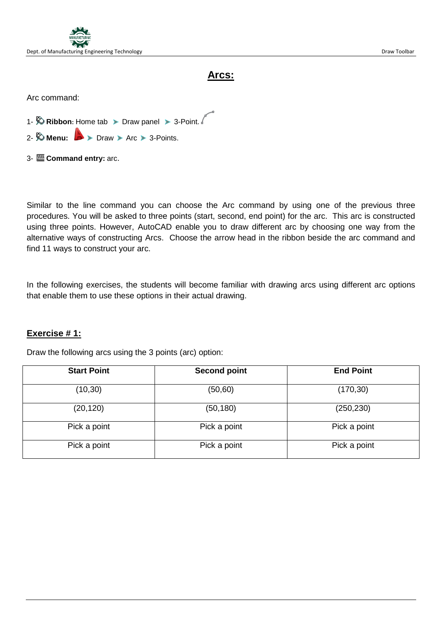

## **Arcs:**

Arc command:

- 1-  $\otimes$  Ribbon: Home tab > Draw panel > 3-Point.
- 2-  $\otimes$  **Menu:**  $\rightarrow$  > Draw > Arc > 3-Points.
- 3- **Command entry:** arc.

Similar to the line command you can choose the Arc command by using one of the previous three procedures. You will be asked to three points (start, second, end point) for the arc. This arc is constructed using three points. However, AutoCAD enable you to draw different arc by choosing one way from the alternative ways of constructing Arcs. Choose the arrow head in the ribbon beside the arc command and find 11 ways to construct your arc.

In the following exercises, the students will become familiar with drawing arcs using different arc options that enable them to use these options in their actual drawing.

#### **Exercise # 1:**

Draw the following arcs using the 3 points (arc) option:

| <b>Start Point</b> | <b>Second point</b> | <b>End Point</b> |
|--------------------|---------------------|------------------|
| (10, 30)           | (50, 60)            | (170, 30)        |
| (20, 120)          | (50, 180)           | (250, 230)       |
| Pick a point       | Pick a point        | Pick a point     |
| Pick a point       | Pick a point        | Pick a point     |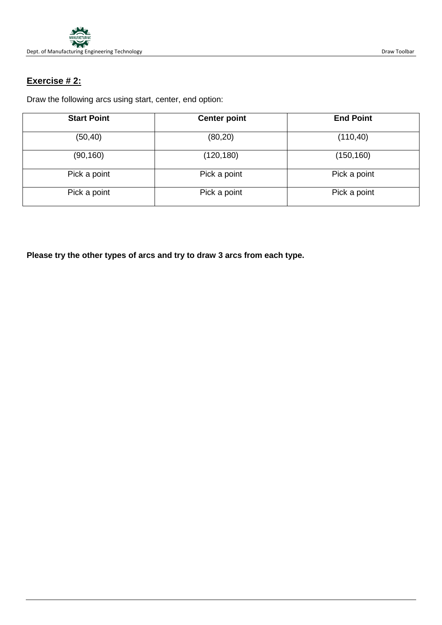

## **Exercise # 2:**

Draw the following arcs using start, center, end option:

| <b>Start Point</b> | <b>Center point</b> | <b>End Point</b> |
|--------------------|---------------------|------------------|
| (50, 40)           | (80, 20)            | (110, 40)        |
| (90, 160)          | (120, 180)          | (150, 160)       |
| Pick a point       | Pick a point        | Pick a point     |
| Pick a point       | Pick a point        | Pick a point     |

**Please try the other types of arcs and try to draw 3 arcs from each type.**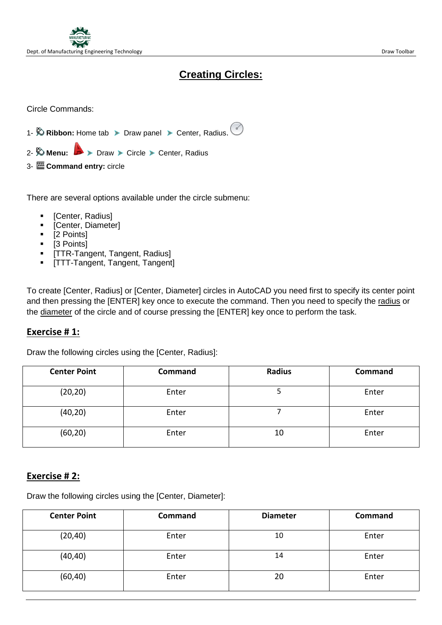

# **Creating Circles:**

Circle Commands:

- 1-  $\%$  Ribbon: Home tab > Draw panel > Center, Radius.
- 2- **W** Menu:  $\rightarrow$  Draw > Circle > Center, Radius
- 3- **Command entry:** circle

There are several options available under the circle submenu:

- [Center, Radius]
- **•** [Center, Diameter]
- [2 Points]
- [3 Points]
- **[TTR-Tangent, Tangent, Radius]**
- [TTT-Tangent, Tangent, Tangent]

To create [Center, Radius] or [Center, Diameter] circles in AutoCAD you need first to specify its center point and then pressing the [ENTER] key once to execute the command. Then you need to specify the radius or the diameter of the circle and of course pressing the [ENTER] key once to perform the task.

#### **Exercise # 1:**

Draw the following circles using the [Center, Radius]:

| <b>Center Point</b> | Command | <b>Radius</b> | Command |
|---------------------|---------|---------------|---------|
| (20, 20)            | Enter   |               | Enter   |
| (40, 20)            | Enter   |               | Enter   |
| (60, 20)            | Enter   | 10            | Enter   |

#### **Exercise # 2:**

Draw the following circles using the [Center, Diameter]:

| <b>Center Point</b> | Command | <b>Diameter</b> | Command |
|---------------------|---------|-----------------|---------|
| (20, 40)            | Enter   | 10              | Enter   |
| (40, 40)            | Enter   | 14              | Enter   |
| (60, 40)            | Enter   | 20              | Enter   |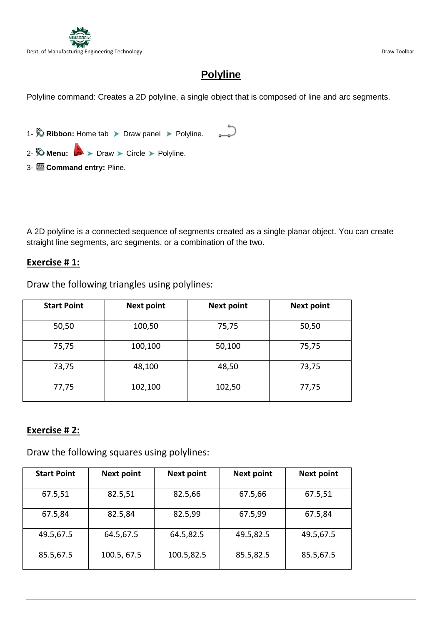

# **Polyline**

Polyline command: Creates a 2D polyline, a single object that is composed of line and arc segments.

1-  $\bullet$  **Ribbon:** Home tab > Draw panel > Polyline. 2-  $\otimes$  **Menu:**  $\rightarrow$  > Draw > Circle > Polyline. 3- **Command entry:** Pline.

A 2D polyline is a connected sequence of segments created as a single planar object. You can create straight line segments, arc segments, or a combination of the two.

#### **Exercise # 1:**

Draw the following triangles using polylines:

| <b>Start Point</b> | <b>Next point</b> | <b>Next point</b> | <b>Next point</b> |
|--------------------|-------------------|-------------------|-------------------|
| 50,50              | 100,50            | 75,75             | 50,50             |
| 75,75              | 100,100           | 50,100            | 75,75             |
| 73,75              | 48,100            | 48,50             | 73,75             |
| 77,75              | 102,100           | 102,50            | 77,75             |

#### **Exercise # 2:**

Draw the following squares using polylines:

| <b>Start Point</b> | <b>Next point</b> | <b>Next point</b> | <b>Next point</b> | <b>Next point</b> |
|--------------------|-------------------|-------------------|-------------------|-------------------|
| 67.5,51            | 82.5,51           | 82.5,66           | 67.5,66           | 67.5,51           |
| 67.5,84            | 82.5,84           | 82.5,99           | 67.5,99           | 67.5,84           |
| 49.5,67.5          | 64.5,67.5         | 64.5,82.5         | 49.5,82.5         | 49.5,67.5         |
| 85.5,67.5          | 100.5, 67.5       | 100.5,82.5        | 85.5,82.5         | 85.5,67.5         |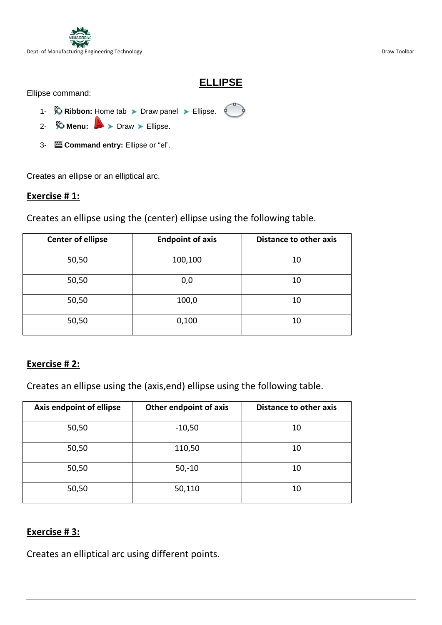

### **ELLIPSE**

Ellipse command:

- 1-  $\Diamond$  **Ribbon:** Home tab > Draw panel > Ellipse.
- 2- *D* **Menu: D** > Draw > Ellipse.
- 3- **Command entry:** Ellipse or "el".

Creates an ellipse or an elliptical arc.

#### **Exercise # 1:**

Creates an ellipse using the (center) ellipse using the following table.

| <b>Center of ellipse</b> | <b>Endpoint of axis</b> | <b>Distance to other axis</b> |
|--------------------------|-------------------------|-------------------------------|
| 50,50                    | 100,100                 | 10                            |
| 50,50                    | 0,0                     | 10                            |
| 50,50                    | 100,0                   | 10                            |
| 50,50                    | 0,100                   | 10                            |

#### **Exercise # 2:**

Creates an ellipse using the (axis,end) ellipse using the following table.

| Axis endpoint of ellipse | Other endpoint of axis | Distance to other axis |  |  |
|--------------------------|------------------------|------------------------|--|--|
| 50,50                    | $-10,50$               | 10                     |  |  |
| 50,50                    | 110,50                 | 10                     |  |  |
| 50,50                    | $50,-10$               | 10                     |  |  |
| 50,50                    | 50,110                 | 10                     |  |  |

#### **Exercise # 3:**

Creates an elliptical arc using different points.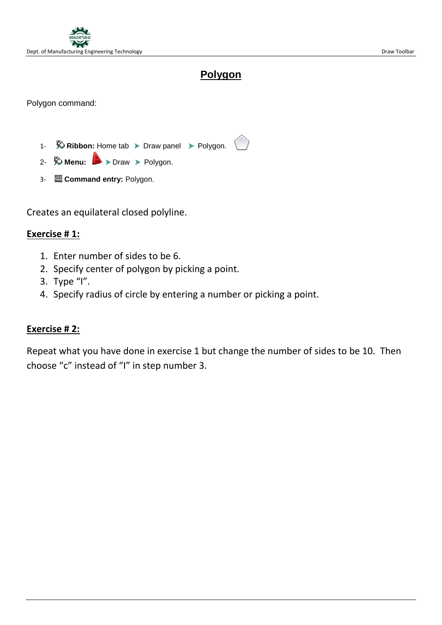

## **Polygon**

Polygon command:

- 1-  $\otimes$  **Ribbon:** Home tab > Draw panel > Polygon.
- 2- *Menu:* > Draw > Polygon.
- 3- **Command entry:** Polygon.

Creates an equilateral closed polyline.

#### **Exercise # 1:**

- 1. Enter number of sides to be 6.
- 2. Specify center of polygon by picking a point.
- 3. Type "I".
- 4. Specify radius of circle by entering a number or picking a point.

#### **Exercise # 2:**

Repeat what you have done in exercise 1 but change the number of sides to be 10. Then choose "c" instead of "I" in step number 3.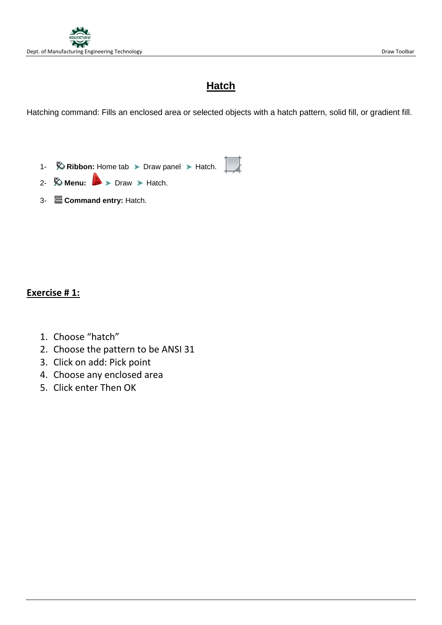# **Hatch**

Hatching command: Fills an enclosed area or selected objects with a hatch pattern, solid fill, or gradient fill.

- 1-  $\Diamond$  **Ribbon:** Home tab > Draw panel > Hatch.
- 2-  $\otimes$  **Menu:**  $\rightarrow$   $\triangleright$  Draw  $\triangleright$  Hatch.
- 3- **Command entry:** Hatch.

### **Exercise # 1:**

- 1. Choose "hatch"
- 2. Choose the pattern to be ANSI 31
- 3. Click on add: Pick point
- 4. Choose any enclosed area
- 5. Click enter Then OK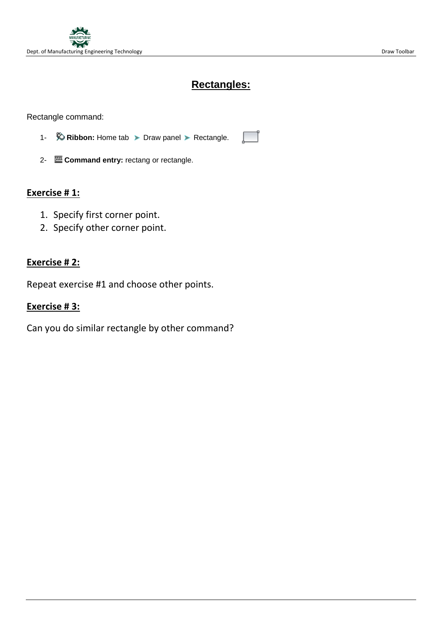## **Rectangles:**

Rectangle command:

- 1-  $\Diamond$  **Ribbon:** Home tab > Draw panel > Rectangle.
- 2- **Command entry:** rectang or rectangle.

### **Exercise # 1:**

- 1. Specify first corner point.
- 2. Specify other corner point.

#### **Exercise # 2:**

Repeat exercise #1 and choose other points.

#### **Exercise # 3:**

Can you do similar rectangle by other command?